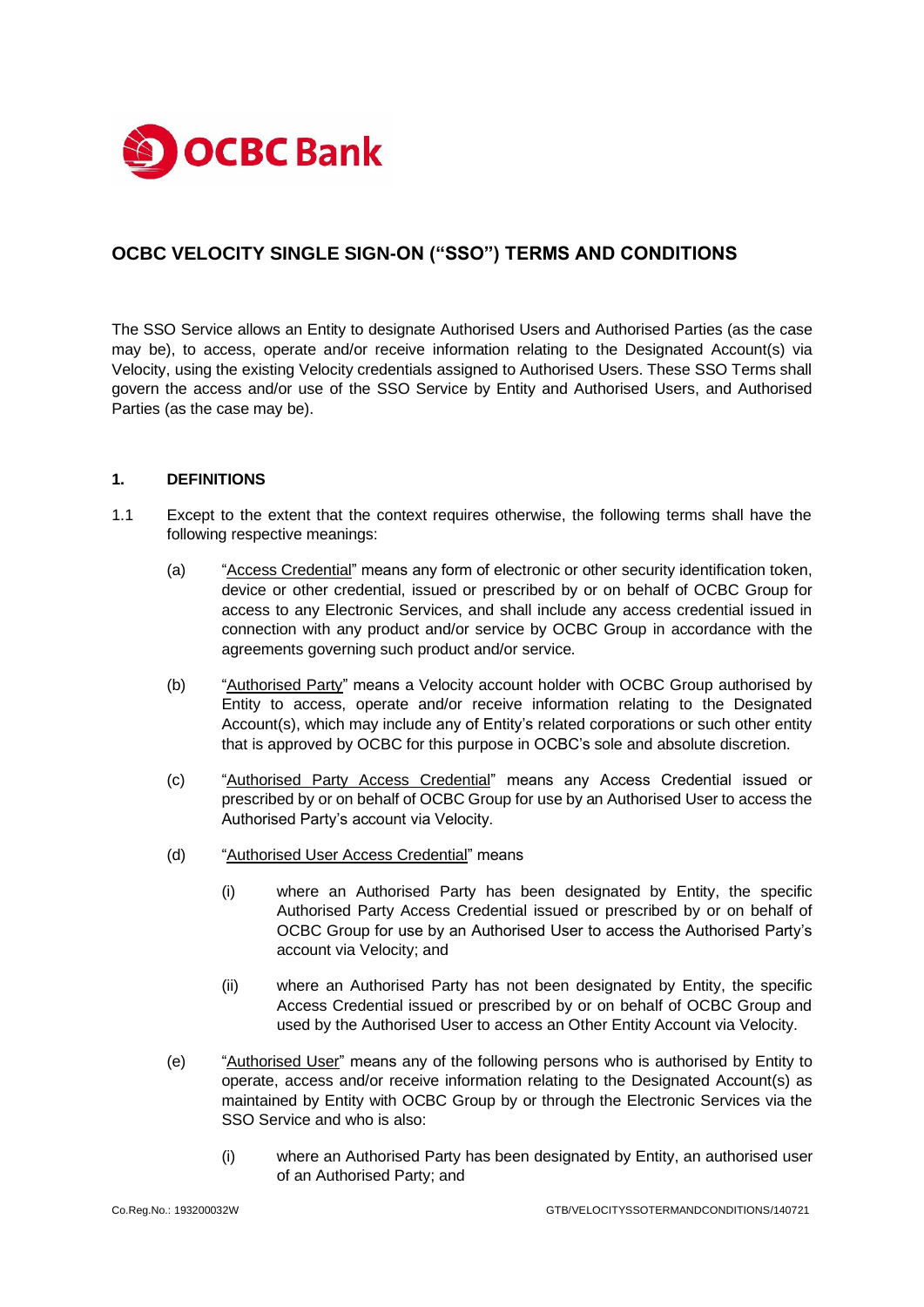

# **OCBC VELOCITY SINGLE SIGN-ON ("SSO") TERMS AND CONDITIONS**

The SSO Service allows an Entity to designate Authorised Users and Authorised Parties (as the case may be), to access, operate and/or receive information relating to the Designated Account(s) via Velocity, using the existing Velocity credentials assigned to Authorised Users. These SSO Terms shall govern the access and/or use of the SSO Service by Entity and Authorised Users, and Authorised Parties (as the case may be).

#### **1. DEFINITIONS**

- 1.1 Except to the extent that the context requires otherwise, the following terms shall have the following respective meanings:
	- (a) "Access Credential" means any form of electronic or other security identification token, device or other credential, issued or prescribed by or on behalf of OCBC Group for access to any Electronic Services, and shall include any access credential issued in connection with any product and/or service by OCBC Group in accordance with the agreements governing such product and/or service.
	- (b) "Authorised Party" means a Velocity account holder with OCBC Group authorised by Entity to access, operate and/or receive information relating to the Designated Account(s), which may include any of Entity's related corporations or such other entity that is approved by OCBC for this purpose in OCBC's sole and absolute discretion.
	- (c) "Authorised Party Access Credential" means any Access Credential issued or prescribed by or on behalf of OCBC Group for use by an Authorised User to access the Authorised Party's account via Velocity.
	- (d) "Authorised User Access Credential" means
		- (i) where an Authorised Party has been designated by Entity, the specific Authorised Party Access Credential issued or prescribed by or on behalf of OCBC Group for use by an Authorised User to access the Authorised Party's account via Velocity; and
		- (ii) where an Authorised Party has not been designated by Entity, the specific Access Credential issued or prescribed by or on behalf of OCBC Group and used by the Authorised User to access an Other Entity Account via Velocity.
	- (e) "Authorised User" means any of the following persons who is authorised by Entity to operate, access and/or receive information relating to the Designated Account(s) as maintained by Entity with OCBC Group by or through the Electronic Services via the SSO Service and who is also:
		- (i) where an Authorised Party has been designated by Entity, an authorised user of an Authorised Party; and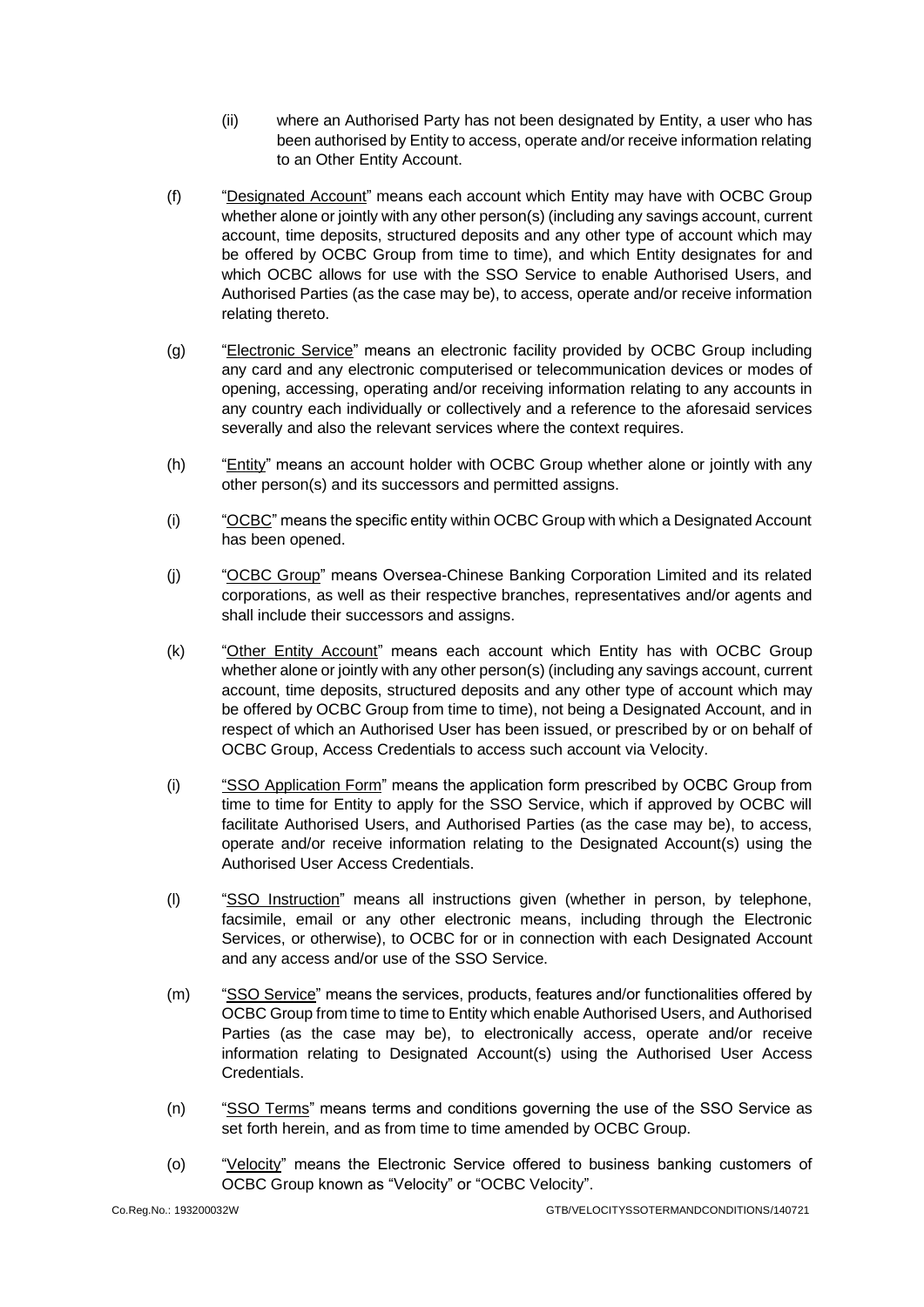- (ii) where an Authorised Party has not been designated by Entity, a user who has been authorised by Entity to access, operate and/or receive information relating to an Other Entity Account.
- (f) "Designated Account" means each account which Entity may have with OCBC Group whether alone or jointly with any other person(s) (including any savings account, current account, time deposits, structured deposits and any other type of account which may be offered by OCBC Group from time to time), and which Entity designates for and which OCBC allows for use with the SSO Service to enable Authorised Users, and Authorised Parties (as the case may be), to access, operate and/or receive information relating thereto.
- (g) "Electronic Service" means an electronic facility provided by OCBC Group including any card and any electronic computerised or telecommunication devices or modes of opening, accessing, operating and/or receiving information relating to any accounts in any country each individually or collectively and a reference to the aforesaid services severally and also the relevant services where the context requires.
- (h) "Entity" means an account holder with OCBC Group whether alone or jointly with any other person(s) and its successors and permitted assigns.
- (i) "OCBC" means the specific entity within OCBC Group with which a Designated Account has been opened.
- (j) "OCBC Group" means Oversea-Chinese Banking Corporation Limited and its related corporations, as well as their respective branches, representatives and/or agents and shall include their successors and assigns.
- (k) "Other Entity Account" means each account which Entity has with OCBC Group whether alone or jointly with any other person(s) (including any savings account, current account, time deposits, structured deposits and any other type of account which may be offered by OCBC Group from time to time), not being a Designated Account, and in respect of which an Authorised User has been issued, or prescribed by or on behalf of OCBC Group, Access Credentials to access such account via Velocity.
- (i) "SSO Application Form" means the application form prescribed by OCBC Group from time to time for Entity to apply for the SSO Service, which if approved by OCBC will facilitate Authorised Users, and Authorised Parties (as the case may be), to access, operate and/or receive information relating to the Designated Account(s) using the Authorised User Access Credentials.
- (l) "SSO Instruction" means all instructions given (whether in person, by telephone, facsimile, email or any other electronic means, including through the Electronic Services, or otherwise), to OCBC for or in connection with each Designated Account and any access and/or use of the SSO Service.
- (m) "SSO Service" means the services, products, features and/or functionalities offered by OCBC Group from time to time to Entity which enable Authorised Users, and Authorised Parties (as the case may be), to electronically access, operate and/or receive information relating to Designated Account(s) using the Authorised User Access Credentials.
- (n) "SSO Terms" means terms and conditions governing the use of the SSO Service as set forth herein, and as from time to time amended by OCBC Group.
- (o) "Velocity" means the Electronic Service offered to business banking customers of OCBC Group known as "Velocity" or "OCBC Velocity".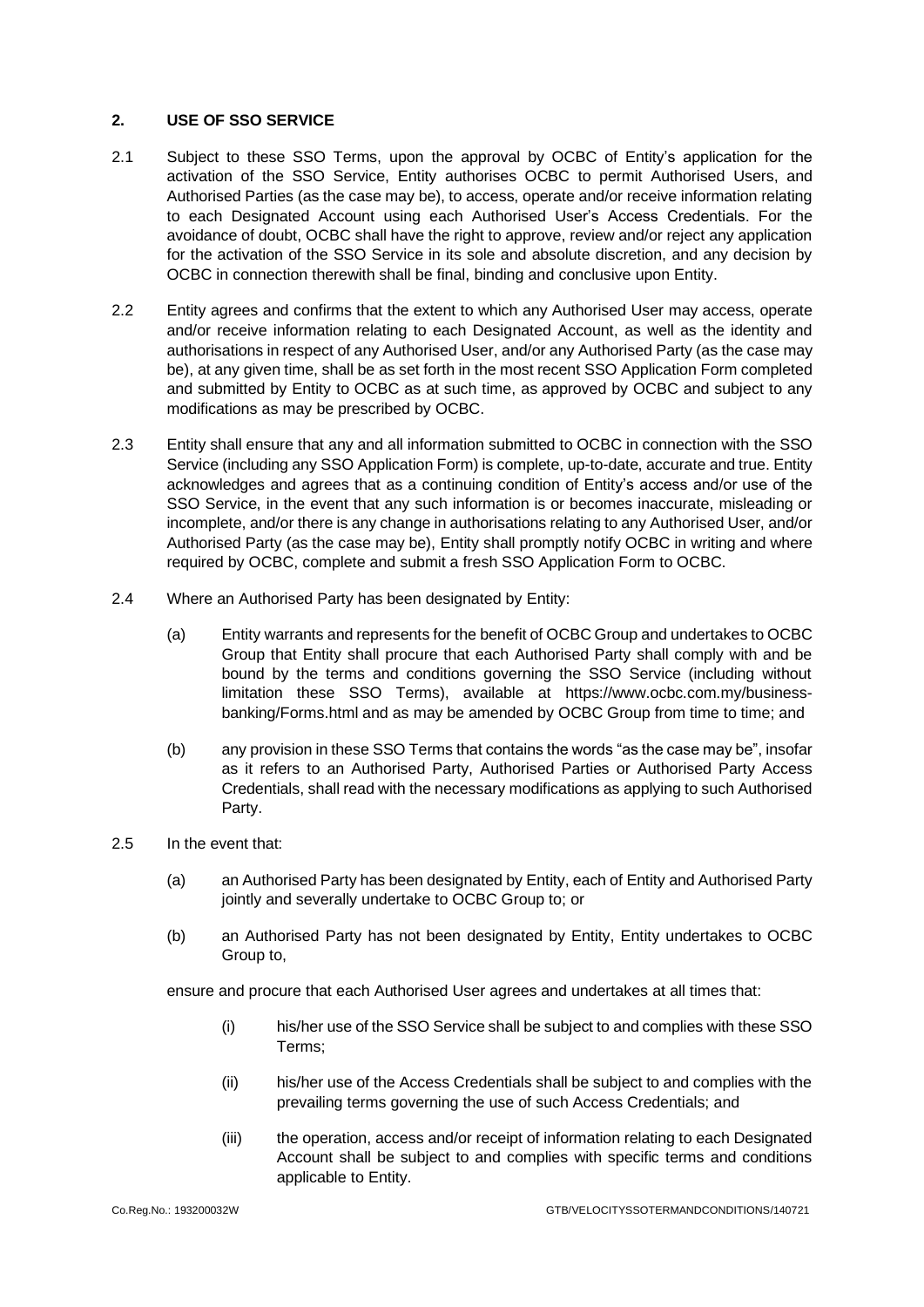#### **2. USE OF SSO SERVICE**

- 2.1 Subject to these SSO Terms, upon the approval by OCBC of Entity's application for the activation of the SSO Service, Entity authorises OCBC to permit Authorised Users, and Authorised Parties (as the case may be), to access, operate and/or receive information relating to each Designated Account using each Authorised User's Access Credentials. For the avoidance of doubt, OCBC shall have the right to approve, review and/or reject any application for the activation of the SSO Service in its sole and absolute discretion, and any decision by OCBC in connection therewith shall be final, binding and conclusive upon Entity.
- 2.2 Entity agrees and confirms that the extent to which any Authorised User may access, operate and/or receive information relating to each Designated Account, as well as the identity and authorisations in respect of any Authorised User, and/or any Authorised Party (as the case may be), at any given time, shall be as set forth in the most recent SSO Application Form completed and submitted by Entity to OCBC as at such time, as approved by OCBC and subject to any modifications as may be prescribed by OCBC.
- 2.3 Entity shall ensure that any and all information submitted to OCBC in connection with the SSO Service (including any SSO Application Form) is complete, up-to-date, accurate and true. Entity acknowledges and agrees that as a continuing condition of Entity's access and/or use of the SSO Service, in the event that any such information is or becomes inaccurate, misleading or incomplete, and/or there is any change in authorisations relating to any Authorised User, and/or Authorised Party (as the case may be), Entity shall promptly notify OCBC in writing and where required by OCBC, complete and submit a fresh SSO Application Form to OCBC.
- 2.4 Where an Authorised Party has been designated by Entity:
	- (a) Entity warrants and represents for the benefit of OCBC Group and undertakes to OCBC Group that Entity shall procure that each Authorised Party shall comply with and be bound by the terms and conditions governing the SSO Service (including without limitation these SSO Terms), available at https://www.ocbc.com.my/businessbanking/Forms.html and as may be amended by OCBC Group from time to time; and
	- (b) any provision in these SSO Terms that contains the words "as the case may be", insofar as it refers to an Authorised Party, Authorised Parties or Authorised Party Access Credentials, shall read with the necessary modifications as applying to such Authorised Party.
- 2.5 In the event that:
	- (a) an Authorised Party has been designated by Entity, each of Entity and Authorised Party jointly and severally undertake to OCBC Group to; or
	- (b) an Authorised Party has not been designated by Entity, Entity undertakes to OCBC Group to,

ensure and procure that each Authorised User agrees and undertakes at all times that:

- (i) his/her use of the SSO Service shall be subject to and complies with these SSO Terms;
- (ii) his/her use of the Access Credentials shall be subject to and complies with the prevailing terms governing the use of such Access Credentials; and
- (iii) the operation, access and/or receipt of information relating to each Designated Account shall be subject to and complies with specific terms and conditions applicable to Entity.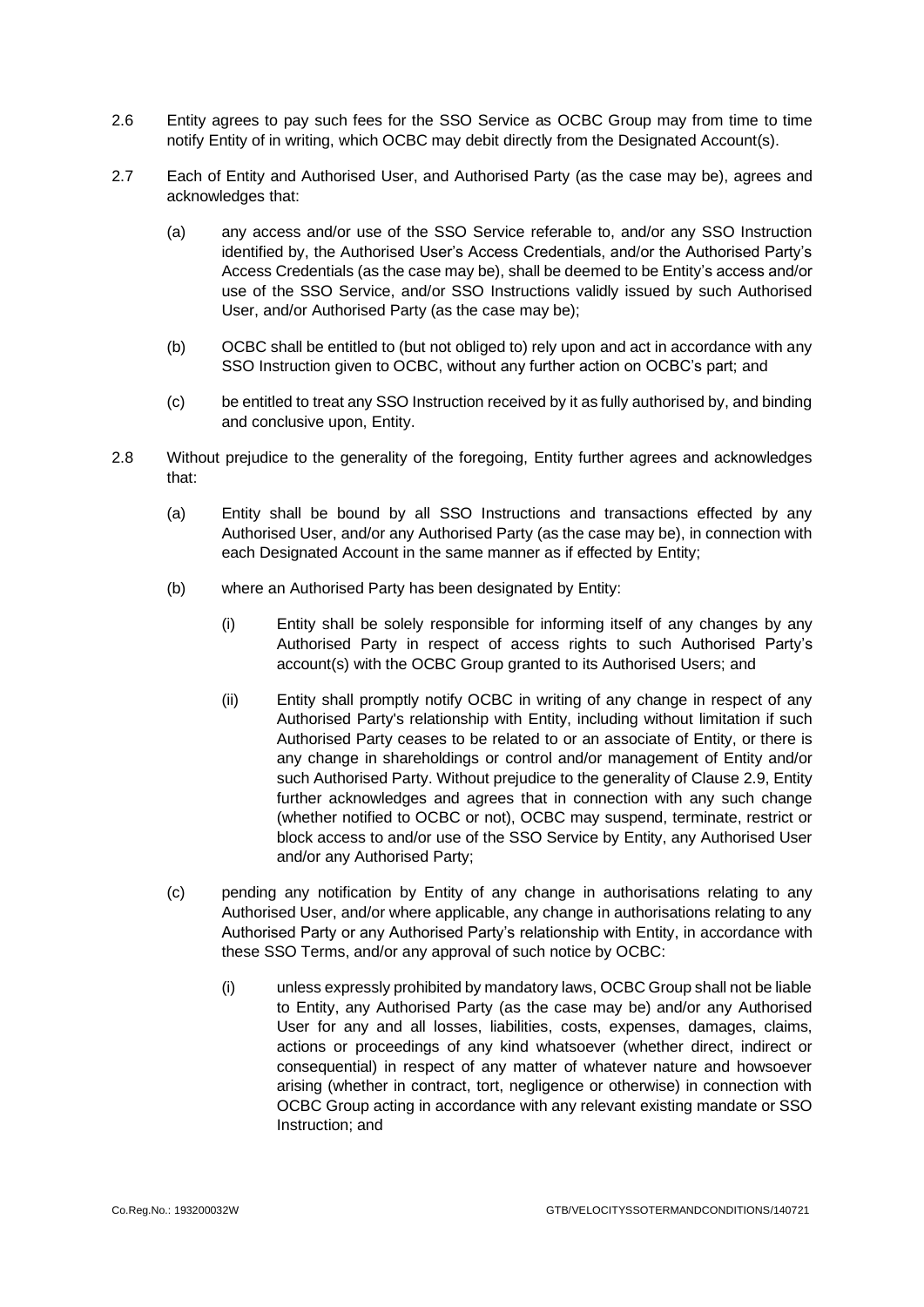- 2.6 Entity agrees to pay such fees for the SSO Service as OCBC Group may from time to time notify Entity of in writing, which OCBC may debit directly from the Designated Account(s).
- 2.7 Each of Entity and Authorised User, and Authorised Party (as the case may be), agrees and acknowledges that:
	- (a) any access and/or use of the SSO Service referable to, and/or any SSO Instruction identified by, the Authorised User's Access Credentials, and/or the Authorised Party's Access Credentials (as the case may be), shall be deemed to be Entity's access and/or use of the SSO Service, and/or SSO Instructions validly issued by such Authorised User, and/or Authorised Party (as the case may be);
	- (b) OCBC shall be entitled to (but not obliged to) rely upon and act in accordance with any SSO Instruction given to OCBC, without any further action on OCBC's part; and
	- (c) be entitled to treat any SSO Instruction received by it as fully authorised by, and binding and conclusive upon, Entity.
- 2.8 Without prejudice to the generality of the foregoing, Entity further agrees and acknowledges that:
	- (a) Entity shall be bound by all SSO Instructions and transactions effected by any Authorised User, and/or any Authorised Party (as the case may be), in connection with each Designated Account in the same manner as if effected by Entity;
	- (b) where an Authorised Party has been designated by Entity:
		- (i) Entity shall be solely responsible for informing itself of any changes by any Authorised Party in respect of access rights to such Authorised Party's account(s) with the OCBC Group granted to its Authorised Users; and
		- (ii) Entity shall promptly notify OCBC in writing of any change in respect of any Authorised Party's relationship with Entity, including without limitation if such Authorised Party ceases to be related to or an associate of Entity, or there is any change in shareholdings or control and/or management of Entity and/or such Authorised Party. Without prejudice to the generality of Clause [2.9,](#page-4-0) Entity further acknowledges and agrees that in connection with any such change (whether notified to OCBC or not), OCBC may suspend, terminate, restrict or block access to and/or use of the SSO Service by Entity, any Authorised User and/or any Authorised Party;
	- (c) pending any notification by Entity of any change in authorisations relating to any Authorised User, and/or where applicable, any change in authorisations relating to any Authorised Party or any Authorised Party's relationship with Entity, in accordance with these SSO Terms, and/or any approval of such notice by OCBC:
		- (i) unless expressly prohibited by mandatory laws, OCBC Group shall not be liable to Entity, any Authorised Party (as the case may be) and/or any Authorised User for any and all losses, liabilities, costs, expenses, damages, claims, actions or proceedings of any kind whatsoever (whether direct, indirect or consequential) in respect of any matter of whatever nature and howsoever arising (whether in contract, tort, negligence or otherwise) in connection with OCBC Group acting in accordance with any relevant existing mandate or SSO Instruction; and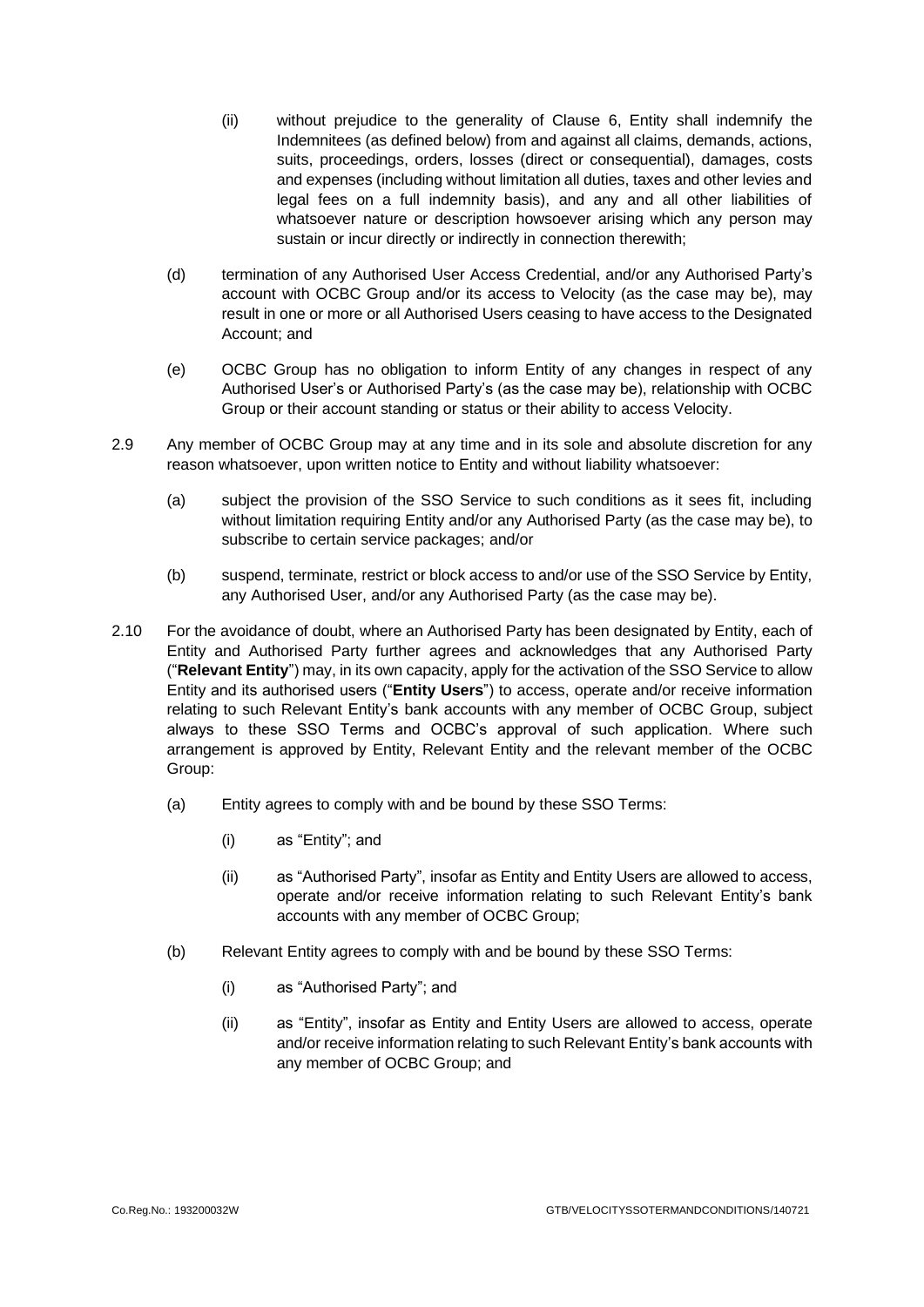- (ii) without prejudice to the generality of Clause [6,](#page-6-0) Entity shall indemnify the Indemnitees (as defined below) from and against all claims, demands, actions, suits, proceedings, orders, losses (direct or consequential), damages, costs and expenses (including without limitation all duties, taxes and other levies and legal fees on a full indemnity basis), and any and all other liabilities of whatsoever nature or description howsoever arising which any person may sustain or incur directly or indirectly in connection therewith;
- (d) termination of any Authorised User Access Credential, and/or any Authorised Party's account with OCBC Group and/or its access to Velocity (as the case may be), may result in one or more or all Authorised Users ceasing to have access to the Designated Account; and
- (e) OCBC Group has no obligation to inform Entity of any changes in respect of any Authorised User's or Authorised Party's (as the case may be), relationship with OCBC Group or their account standing or status or their ability to access Velocity.
- <span id="page-4-0"></span>2.9 Any member of OCBC Group may at any time and in its sole and absolute discretion for any reason whatsoever, upon written notice to Entity and without liability whatsoever:
	- (a) subject the provision of the SSO Service to such conditions as it sees fit, including without limitation requiring Entity and/or any Authorised Party (as the case may be), to subscribe to certain service packages; and/or
	- (b) suspend, terminate, restrict or block access to and/or use of the SSO Service by Entity, any Authorised User, and/or any Authorised Party (as the case may be).
- 2.10 For the avoidance of doubt, where an Authorised Party has been designated by Entity, each of Entity and Authorised Party further agrees and acknowledges that any Authorised Party ("**Relevant Entity**") may, in its own capacity, apply for the activation of the SSO Service to allow Entity and its authorised users ("**Entity Users**") to access, operate and/or receive information relating to such Relevant Entity's bank accounts with any member of OCBC Group, subject always to these SSO Terms and OCBC's approval of such application. Where such arrangement is approved by Entity, Relevant Entity and the relevant member of the OCBC Group:
	- (a) Entity agrees to comply with and be bound by these SSO Terms:
		- (i) as "Entity"; and
		- (ii) as "Authorised Party", insofar as Entity and Entity Users are allowed to access, operate and/or receive information relating to such Relevant Entity's bank accounts with any member of OCBC Group;
	- (b) Relevant Entity agrees to comply with and be bound by these SSO Terms:
		- (i) as "Authorised Party"; and
		- (ii) as "Entity", insofar as Entity and Entity Users are allowed to access, operate and/or receive information relating to such Relevant Entity's bank accounts with any member of OCBC Group; and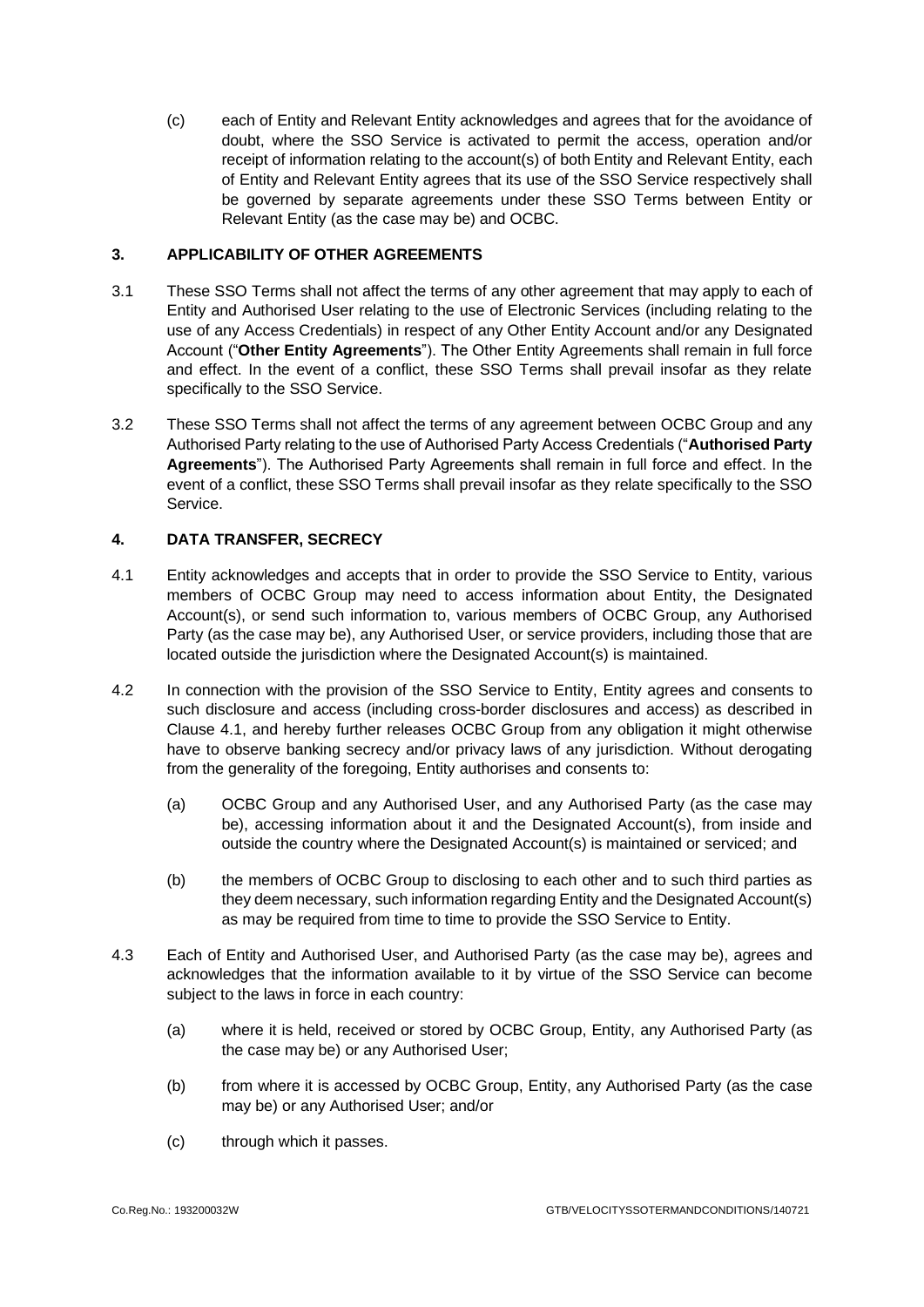(c) each of Entity and Relevant Entity acknowledges and agrees that for the avoidance of doubt, where the SSO Service is activated to permit the access, operation and/or receipt of information relating to the account(s) of both Entity and Relevant Entity, each of Entity and Relevant Entity agrees that its use of the SSO Service respectively shall be governed by separate agreements under these SSO Terms between Entity or Relevant Entity (as the case may be) and OCBC.

### **3. APPLICABILITY OF OTHER AGREEMENTS**

- 3.1 These SSO Terms shall not affect the terms of any other agreement that may apply to each of Entity and Authorised User relating to the use of Electronic Services (including relating to the use of any Access Credentials) in respect of any Other Entity Account and/or any Designated Account ("**Other Entity Agreements**"). The Other Entity Agreements shall remain in full force and effect. In the event of a conflict, these SSO Terms shall prevail insofar as they relate specifically to the SSO Service.
- 3.2 These SSO Terms shall not affect the terms of any agreement between OCBC Group and any Authorised Party relating to the use of Authorised Party Access Credentials ("**Authorised Party Agreements**"). The Authorised Party Agreements shall remain in full force and effect. In the event of a conflict, these SSO Terms shall prevail insofar as they relate specifically to the SSO Service.

# **4. DATA TRANSFER, SECRECY**

- <span id="page-5-0"></span>4.1 Entity acknowledges and accepts that in order to provide the SSO Service to Entity, various members of OCBC Group may need to access information about Entity, the Designated Account(s), or send such information to, various members of OCBC Group, any Authorised Party (as the case may be), any Authorised User, or service providers, including those that are located outside the jurisdiction where the Designated Account(s) is maintained.
- 4.2 In connection with the provision of the SSO Service to Entity, Entity agrees and consents to such disclosure and access (including cross-border disclosures and access) as described in Clause [4.1,](#page-5-0) and hereby further releases OCBC Group from any obligation it might otherwise have to observe banking secrecy and/or privacy laws of any jurisdiction. Without derogating from the generality of the foregoing, Entity authorises and consents to:
	- (a) OCBC Group and any Authorised User, and any Authorised Party (as the case may be), accessing information about it and the Designated Account(s), from inside and outside the country where the Designated Account(s) is maintained or serviced; and
	- (b) the members of OCBC Group to disclosing to each other and to such third parties as they deem necessary, such information regarding Entity and the Designated Account(s) as may be required from time to time to provide the SSO Service to Entity.
- 4.3 Each of Entity and Authorised User, and Authorised Party (as the case may be), agrees and acknowledges that the information available to it by virtue of the SSO Service can become subject to the laws in force in each country:
	- (a) where it is held, received or stored by OCBC Group, Entity, any Authorised Party (as the case may be) or any Authorised User;
	- (b) from where it is accessed by OCBC Group, Entity, any Authorised Party (as the case may be) or any Authorised User; and/or
	- (c) through which it passes.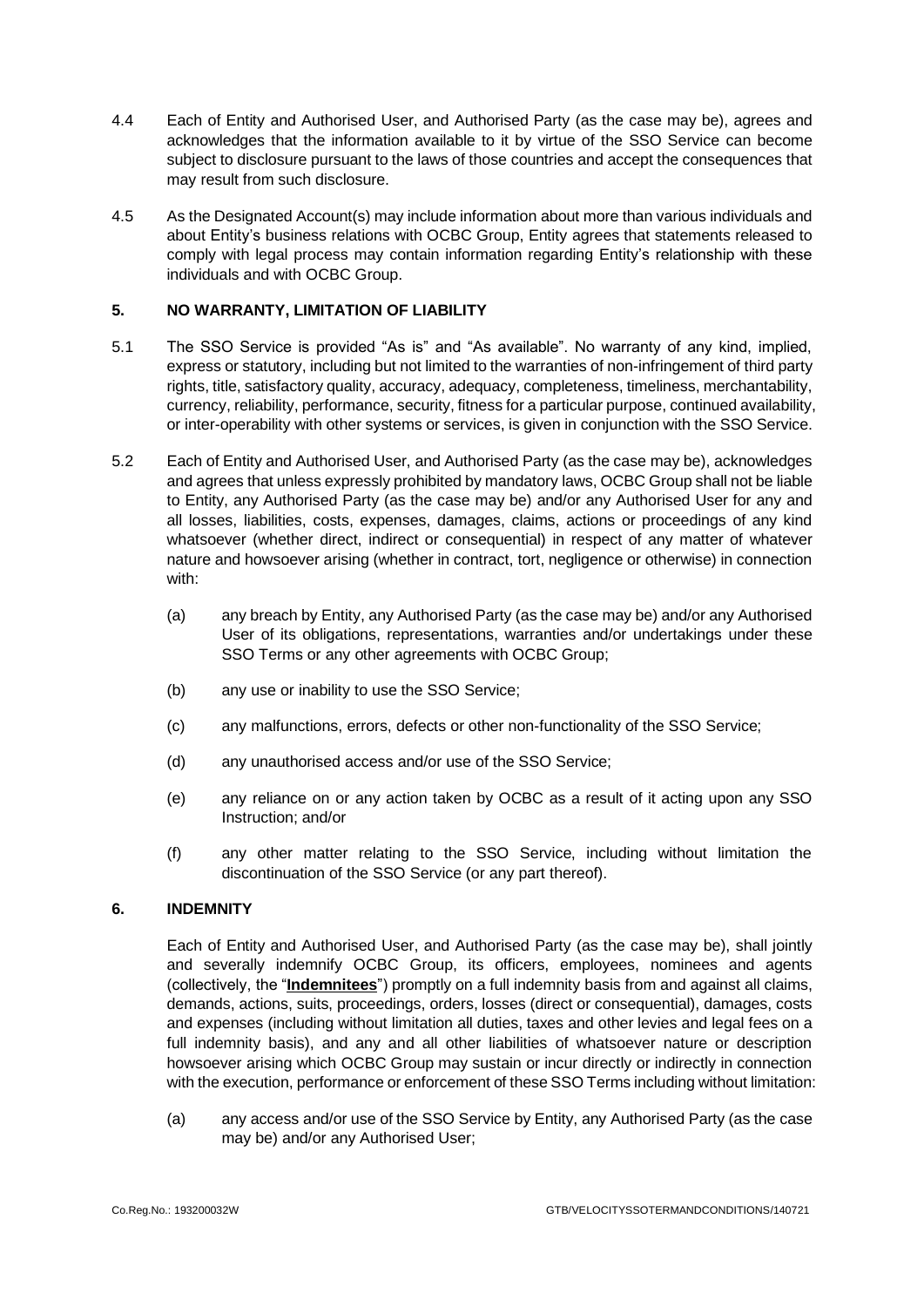- 4.4 Each of Entity and Authorised User, and Authorised Party (as the case may be), agrees and acknowledges that the information available to it by virtue of the SSO Service can become subject to disclosure pursuant to the laws of those countries and accept the consequences that may result from such disclosure.
- 4.5 As the Designated Account(s) may include information about more than various individuals and about Entity's business relations with OCBC Group, Entity agrees that statements released to comply with legal process may contain information regarding Entity's relationship with these individuals and with OCBC Group.

### **5. NO WARRANTY, LIMITATION OF LIABILITY**

- 5.1 The SSO Service is provided "As is" and "As available". No warranty of any kind, implied, express or statutory, including but not limited to the warranties of non-infringement of third party rights, title, satisfactory quality, accuracy, adequacy, completeness, timeliness, merchantability, currency, reliability, performance, security, fitness for a particular purpose, continued availability, or inter-operability with other systems or services, is given in conjunction with the SSO Service.
- 5.2 Each of Entity and Authorised User, and Authorised Party (as the case may be), acknowledges and agrees that unless expressly prohibited by mandatory laws, OCBC Group shall not be liable to Entity, any Authorised Party (as the case may be) and/or any Authorised User for any and all losses, liabilities, costs, expenses, damages, claims, actions or proceedings of any kind whatsoever (whether direct, indirect or consequential) in respect of any matter of whatever nature and howsoever arising (whether in contract, tort, negligence or otherwise) in connection with:
	- (a) any breach by Entity, any Authorised Party (as the case may be) and/or any Authorised User of its obligations, representations, warranties and/or undertakings under these SSO Terms or any other agreements with OCBC Group;
	- (b) any use or inability to use the SSO Service;
	- (c) any malfunctions, errors, defects or other non-functionality of the SSO Service;
	- (d) any unauthorised access and/or use of the SSO Service;
	- (e) any reliance on or any action taken by OCBC as a result of it acting upon any SSO Instruction; and/or
	- (f) any other matter relating to the SSO Service, including without limitation the discontinuation of the SSO Service (or any part thereof).

# <span id="page-6-0"></span>**6. INDEMNITY**

Each of Entity and Authorised User, and Authorised Party (as the case may be), shall jointly and severally indemnify OCBC Group, its officers, employees, nominees and agents (collectively, the "**Indemnitees**") promptly on a full indemnity basis from and against all claims, demands, actions, suits, proceedings, orders, losses (direct or consequential), damages, costs and expenses (including without limitation all duties, taxes and other levies and legal fees on a full indemnity basis), and any and all other liabilities of whatsoever nature or description howsoever arising which OCBC Group may sustain or incur directly or indirectly in connection with the execution, performance or enforcement of these SSO Terms including without limitation:

(a) any access and/or use of the SSO Service by Entity, any Authorised Party (as the case may be) and/or any Authorised User;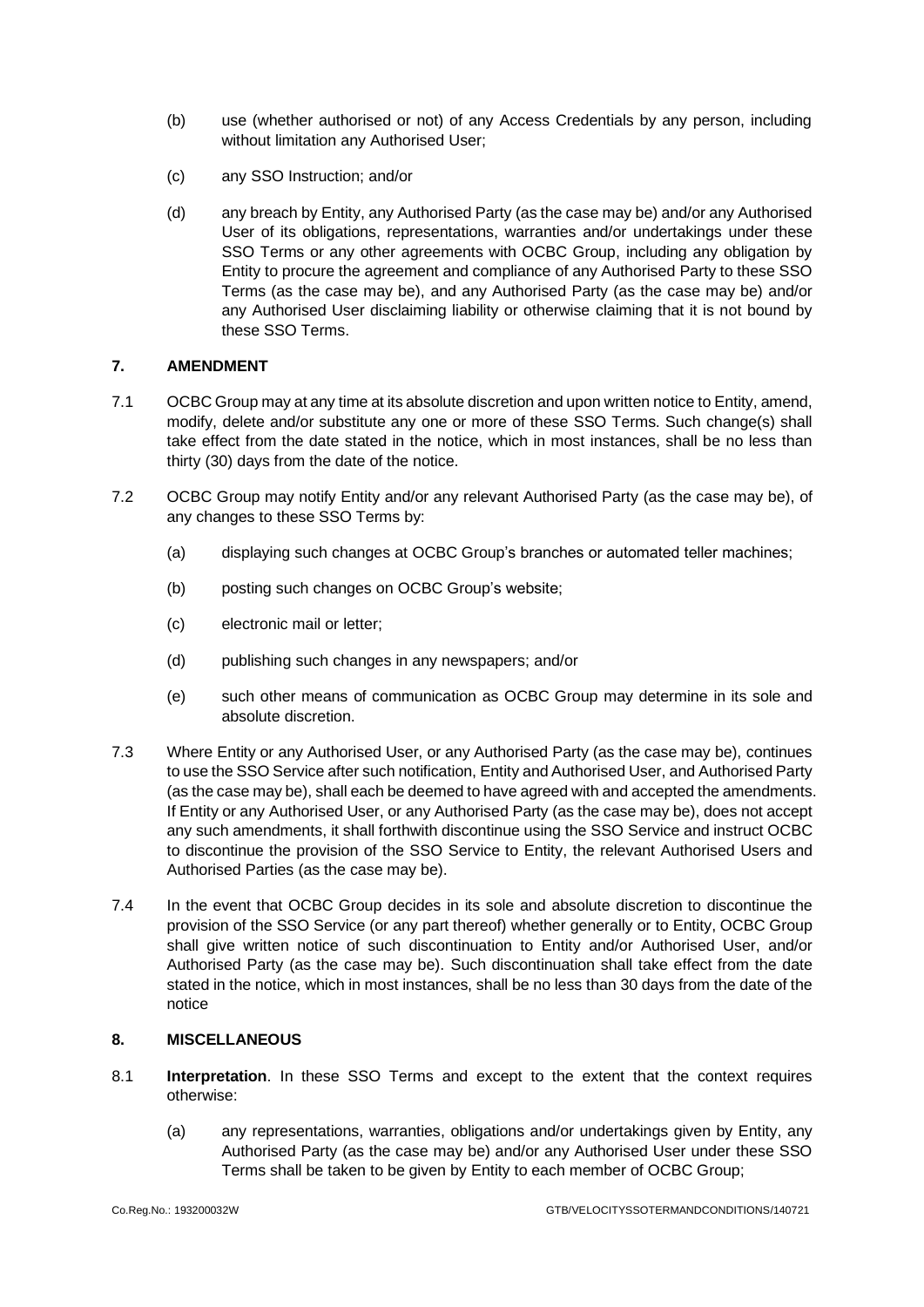- (b) use (whether authorised or not) of any Access Credentials by any person, including without limitation any Authorised User;
- (c) any SSO Instruction; and/or
- (d) any breach by Entity, any Authorised Party (as the case may be) and/or any Authorised User of its obligations, representations, warranties and/or undertakings under these SSO Terms or any other agreements with OCBC Group, including any obligation by Entity to procure the agreement and compliance of any Authorised Party to these SSO Terms (as the case may be), and any Authorised Party (as the case may be) and/or any Authorised User disclaiming liability or otherwise claiming that it is not bound by these SSO Terms.

## **7. AMENDMENT**

- 7.1 OCBC Group may at any time at its absolute discretion and upon written notice to Entity, amend, modify, delete and/or substitute any one or more of these SSO Terms. Such change(s) shall take effect from the date stated in the notice, which in most instances, shall be no less than thirty (30) days from the date of the notice.
- 7.2 OCBC Group may notify Entity and/or any relevant Authorised Party (as the case may be), of any changes to these SSO Terms by:
	- (a) displaying such changes at OCBC Group's branches or automated teller machines;
	- (b) posting such changes on OCBC Group's website;
	- (c) electronic mail or letter;
	- (d) publishing such changes in any newspapers; and/or
	- (e) such other means of communication as OCBC Group may determine in its sole and absolute discretion.
- 7.3 Where Entity or any Authorised User, or any Authorised Party (as the case may be), continues to use the SSO Service after such notification, Entity and Authorised User, and Authorised Party (as the case may be), shall each be deemed to have agreed with and accepted the amendments. If Entity or any Authorised User, or any Authorised Party (as the case may be), does not accept any such amendments, it shall forthwith discontinue using the SSO Service and instruct OCBC to discontinue the provision of the SSO Service to Entity, the relevant Authorised Users and Authorised Parties (as the case may be).
- 7.4 In the event that OCBC Group decides in its sole and absolute discretion to discontinue the provision of the SSO Service (or any part thereof) whether generally or to Entity, OCBC Group shall give written notice of such discontinuation to Entity and/or Authorised User, and/or Authorised Party (as the case may be). Such discontinuation shall take effect from the date stated in the notice, which in most instances, shall be no less than 30 days from the date of the notice

#### **8. MISCELLANEOUS**

- 8.1 **Interpretation**. In these SSO Terms and except to the extent that the context requires otherwise:
	- (a) any representations, warranties, obligations and/or undertakings given by Entity, any Authorised Party (as the case may be) and/or any Authorised User under these SSO Terms shall be taken to be given by Entity to each member of OCBC Group;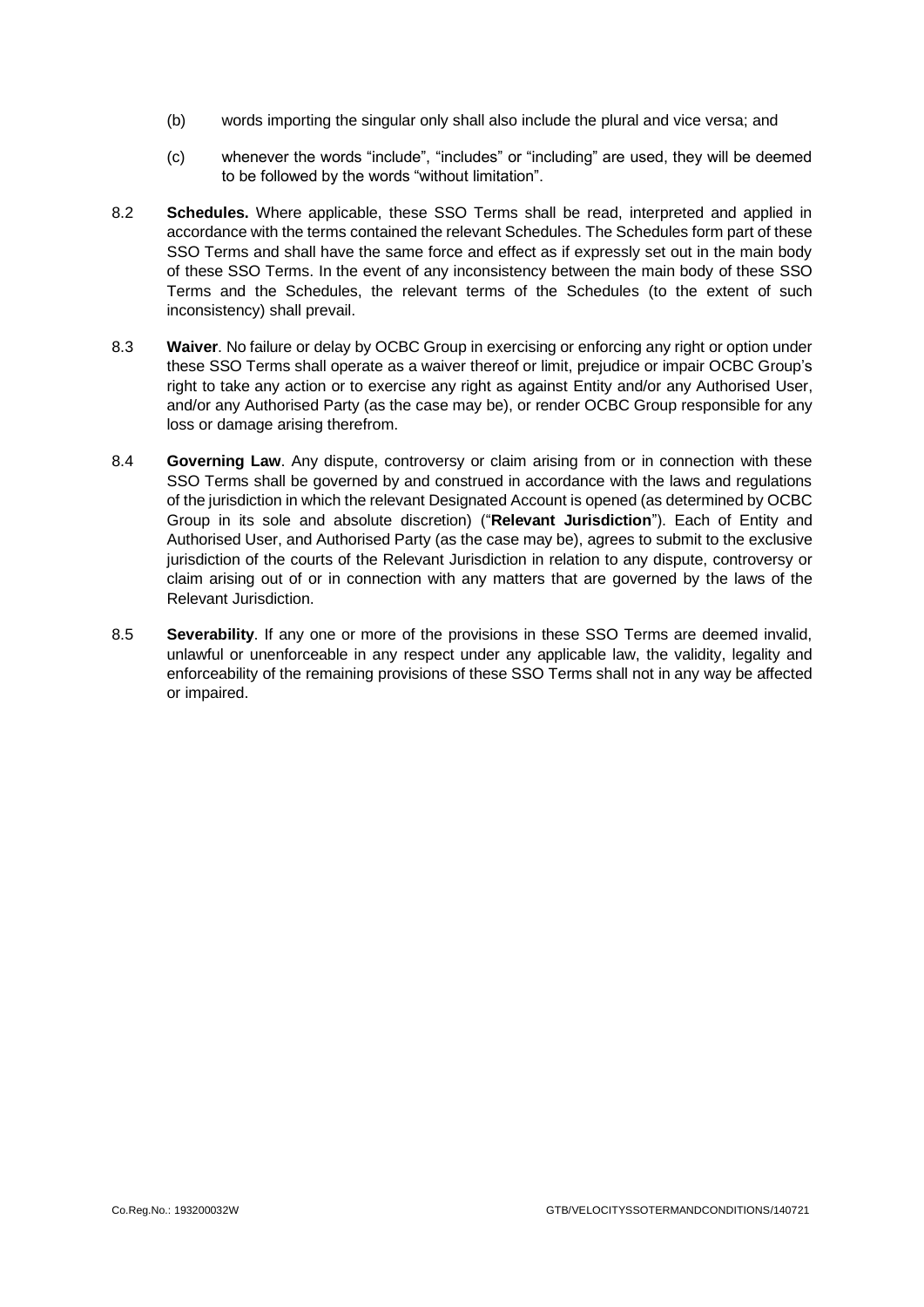- (b) words importing the singular only shall also include the plural and vice versa; and
- (c) whenever the words "include", "includes" or "including" are used, they will be deemed to be followed by the words "without limitation".
- 8.2 **Schedules.** Where applicable, these SSO Terms shall be read, interpreted and applied in accordance with the terms contained the relevant Schedules. The Schedules form part of these SSO Terms and shall have the same force and effect as if expressly set out in the main body of these SSO Terms. In the event of any inconsistency between the main body of these SSO Terms and the Schedules, the relevant terms of the Schedules (to the extent of such inconsistency) shall prevail.
- 8.3 **Waiver**. No failure or delay by OCBC Group in exercising or enforcing any right or option under these SSO Terms shall operate as a waiver thereof or limit, prejudice or impair OCBC Group's right to take any action or to exercise any right as against Entity and/or any Authorised User, and/or any Authorised Party (as the case may be), or render OCBC Group responsible for any loss or damage arising therefrom.
- 8.4 **Governing Law**. Any dispute, controversy or claim arising from or in connection with these SSO Terms shall be governed by and construed in accordance with the laws and regulations of the jurisdiction in which the relevant Designated Account is opened (as determined by OCBC Group in its sole and absolute discretion) ("**Relevant Jurisdiction**"). Each of Entity and Authorised User, and Authorised Party (as the case may be), agrees to submit to the exclusive jurisdiction of the courts of the Relevant Jurisdiction in relation to any dispute, controversy or claim arising out of or in connection with any matters that are governed by the laws of the Relevant Jurisdiction.
- 8.5 **Severability**. If any one or more of the provisions in these SSO Terms are deemed invalid, unlawful or unenforceable in any respect under any applicable law, the validity, legality and enforceability of the remaining provisions of these SSO Terms shall not in any way be affected or impaired.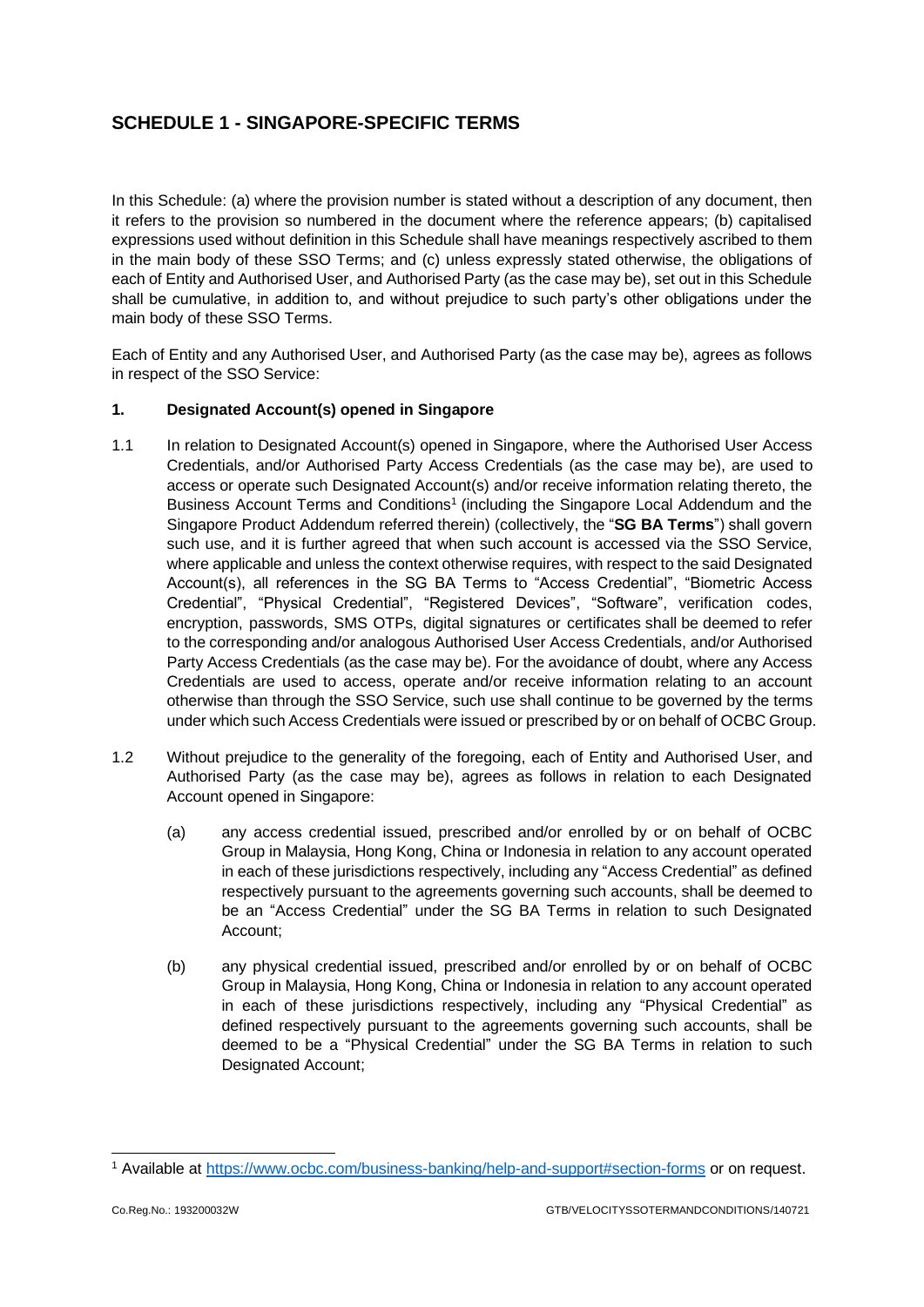# **SCHEDULE 1 - SINGAPORE-SPECIFIC TERMS**

In this Schedule: (a) where the provision number is stated without a description of any document, then it refers to the provision so numbered in the document where the reference appears; (b) capitalised expressions used without definition in this Schedule shall have meanings respectively ascribed to them in the main body of these SSO Terms; and (c) unless expressly stated otherwise, the obligations of each of Entity and Authorised User, and Authorised Party (as the case may be), set out in this Schedule shall be cumulative, in addition to, and without prejudice to such party's other obligations under the main body of these SSO Terms.

Each of Entity and any Authorised User, and Authorised Party (as the case may be), agrees as follows in respect of the SSO Service:

## **1. Designated Account(s) opened in Singapore**

- 1.1 In relation to Designated Account(s) opened in Singapore, where the Authorised User Access Credentials, and/or Authorised Party Access Credentials (as the case may be), are used to access or operate such Designated Account(s) and/or receive information relating thereto, the Business Account Terms and Conditions<sup>1</sup> (including the Singapore Local Addendum and the Singapore Product Addendum referred therein) (collectively, the "**SG BA Terms**") shall govern such use, and it is further agreed that when such account is accessed via the SSO Service, where applicable and unless the context otherwise requires, with respect to the said Designated Account(s), all references in the SG BA Terms to "Access Credential", "Biometric Access Credential", "Physical Credential", "Registered Devices", "Software", verification codes, encryption, passwords, SMS OTPs, digital signatures or certificates shall be deemed to refer to the corresponding and/or analogous Authorised User Access Credentials, and/or Authorised Party Access Credentials (as the case may be). For the avoidance of doubt, where any Access Credentials are used to access, operate and/or receive information relating to an account otherwise than through the SSO Service, such use shall continue to be governed by the terms under which such Access Credentials were issued or prescribed by or on behalf of OCBC Group.
- 1.2 Without prejudice to the generality of the foregoing, each of Entity and Authorised User, and Authorised Party (as the case may be), agrees as follows in relation to each Designated Account opened in Singapore:
	- (a) any access credential issued, prescribed and/or enrolled by or on behalf of OCBC Group in Malaysia, Hong Kong, China or Indonesia in relation to any account operated in each of these jurisdictions respectively, including any "Access Credential" as defined respectively pursuant to the agreements governing such accounts, shall be deemed to be an "Access Credential" under the SG BA Terms in relation to such Designated Account;
	- (b) any physical credential issued, prescribed and/or enrolled by or on behalf of OCBC Group in Malaysia, Hong Kong, China or Indonesia in relation to any account operated in each of these jurisdictions respectively, including any "Physical Credential" as defined respectively pursuant to the agreements governing such accounts, shall be deemed to be a "Physical Credential" under the SG BA Terms in relation to such Designated Account;

<sup>1</sup> Available at<https://www.ocbc.com/business-banking/help-and-support#section-forms> or on request.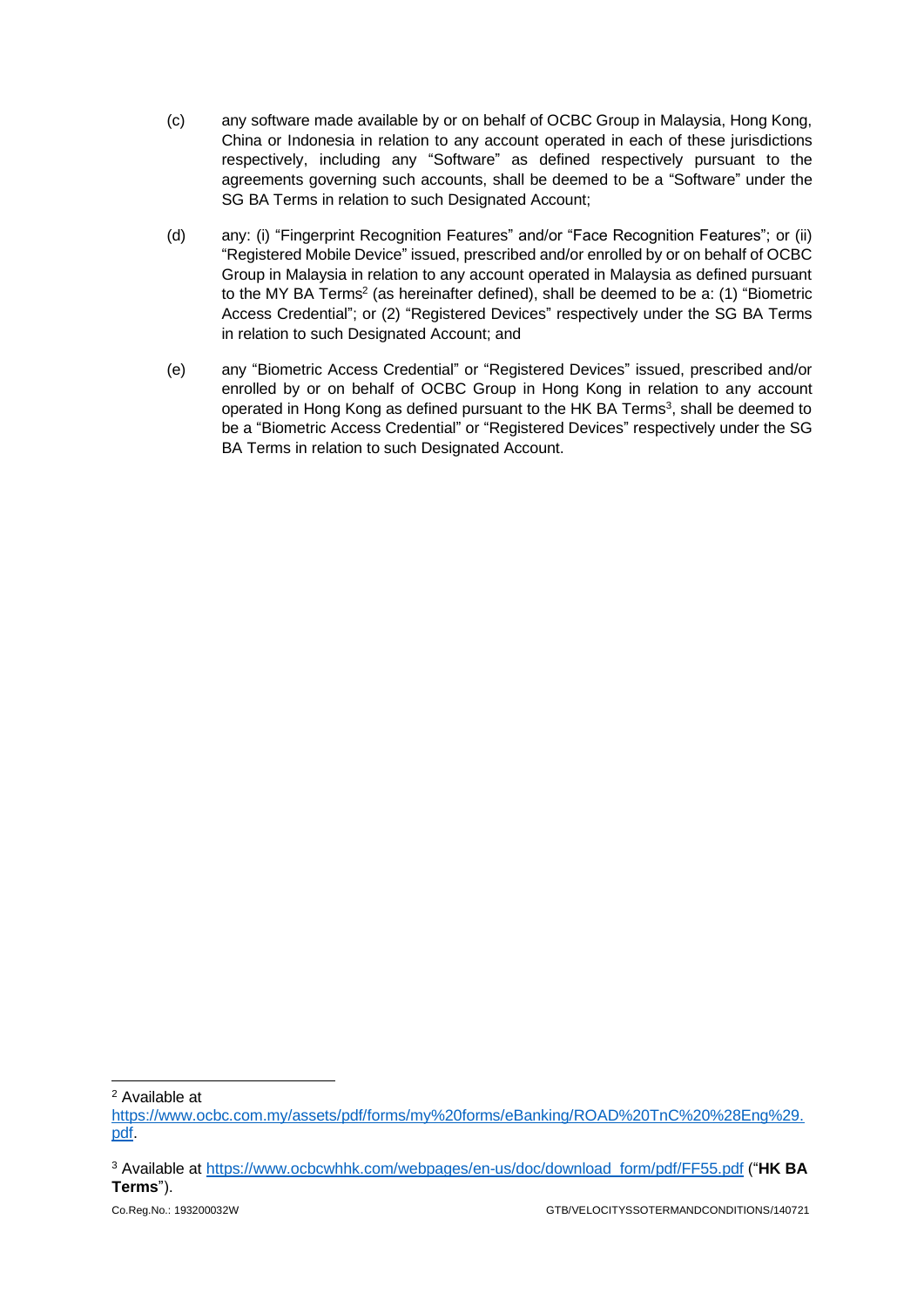- (c) any software made available by or on behalf of OCBC Group in Malaysia, Hong Kong, China or Indonesia in relation to any account operated in each of these jurisdictions respectively, including any "Software" as defined respectively pursuant to the agreements governing such accounts, shall be deemed to be a "Software" under the SG BA Terms in relation to such Designated Account;
- (d) any: (i) "Fingerprint Recognition Features" and/or "Face Recognition Features"; or (ii) "Registered Mobile Device" issued, prescribed and/or enrolled by or on behalf of OCBC Group in Malaysia in relation to any account operated in Malaysia as defined pursuant to the MY BA Terms<sup>2</sup> (as hereinafter defined), shall be deemed to be a: (1) "Biometric Access Credential"; or (2) "Registered Devices" respectively under the SG BA Terms in relation to such Designated Account; and
- (e) any "Biometric Access Credential" or "Registered Devices" issued, prescribed and/or enrolled by or on behalf of OCBC Group in Hong Kong in relation to any account operated in Hong Kong as defined pursuant to the HK BA Terms<sup>3</sup>, shall be deemed to be a "Biometric Access Credential" or "Registered Devices" respectively under the SG BA Terms in relation to such Designated Account.

<sup>2</sup> Available at

[https://www.ocbc.com.my/assets/pdf/forms/my%20forms/eBanking/ROAD%20TnC%20%28Eng%29.](https://www.ocbc.com.my/assets/pdf/forms/my%20forms/eBanking/ROAD%20TnC%20%28Eng%29.pdf) [pdf.](https://www.ocbc.com.my/assets/pdf/forms/my%20forms/eBanking/ROAD%20TnC%20%28Eng%29.pdf)

<sup>3</sup> Available at [https://www.ocbcwhhk.com/webpages/en-us/doc/download\\_form/pdf/FF55.pdf](https://www.ocbcwhhk.com/webpages/en-us/doc/download_form/pdf/FF55.pdf) ("**HK BA Terms**").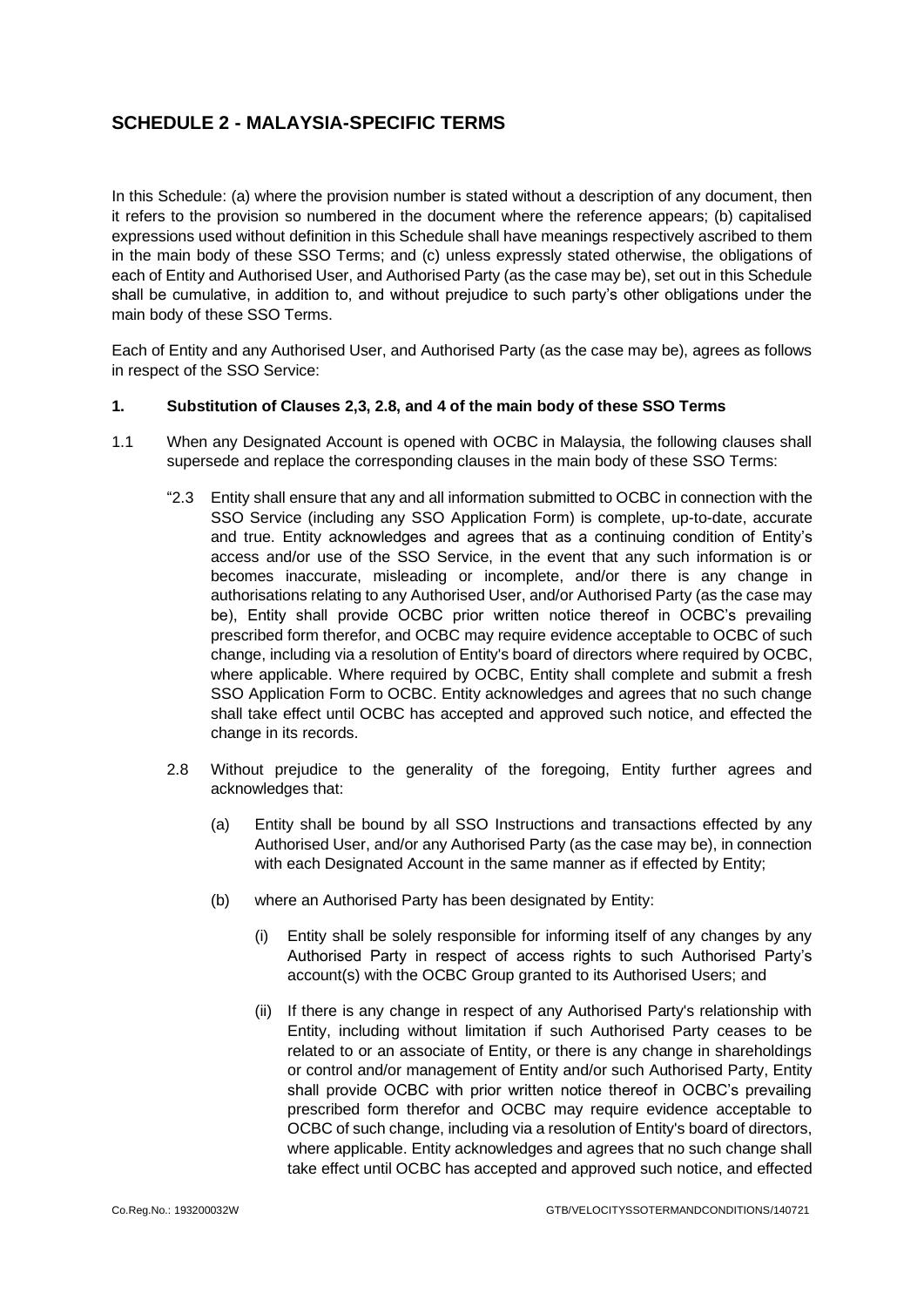# **SCHEDULE 2 - MALAYSIA-SPECIFIC TERMS**

In this Schedule: (a) where the provision number is stated without a description of any document, then it refers to the provision so numbered in the document where the reference appears; (b) capitalised expressions used without definition in this Schedule shall have meanings respectively ascribed to them in the main body of these SSO Terms; and (c) unless expressly stated otherwise, the obligations of each of Entity and Authorised User, and Authorised Party (as the case may be), set out in this Schedule shall be cumulative, in addition to, and without prejudice to such party's other obligations under the main body of these SSO Terms.

Each of Entity and any Authorised User, and Authorised Party (as the case may be), agrees as follows in respect of the SSO Service:

#### **1. Substitution of Clauses 2,3, 2.8, and 4 of the main body of these SSO Terms**

- 1.1 When any Designated Account is opened with OCBC in Malaysia, the following clauses shall supersede and replace the corresponding clauses in the main body of these SSO Terms:
	- "2.3 Entity shall ensure that any and all information submitted to OCBC in connection with the SSO Service (including any SSO Application Form) is complete, up-to-date, accurate and true. Entity acknowledges and agrees that as a continuing condition of Entity's access and/or use of the SSO Service, in the event that any such information is or becomes inaccurate, misleading or incomplete, and/or there is any change in authorisations relating to any Authorised User, and/or Authorised Party (as the case may be), Entity shall provide OCBC prior written notice thereof in OCBC's prevailing prescribed form therefor, and OCBC may require evidence acceptable to OCBC of such change, including via a resolution of Entity's board of directors where required by OCBC, where applicable. Where required by OCBC, Entity shall complete and submit a fresh SSO Application Form to OCBC. Entity acknowledges and agrees that no such change shall take effect until OCBC has accepted and approved such notice, and effected the change in its records.
	- 2.8 Without prejudice to the generality of the foregoing, Entity further agrees and acknowledges that:
		- (a) Entity shall be bound by all SSO Instructions and transactions effected by any Authorised User, and/or any Authorised Party (as the case may be), in connection with each Designated Account in the same manner as if effected by Entity;
		- (b) where an Authorised Party has been designated by Entity:
			- (i) Entity shall be solely responsible for informing itself of any changes by any Authorised Party in respect of access rights to such Authorised Party's account(s) with the OCBC Group granted to its Authorised Users; and
			- (ii) If there is any change in respect of any Authorised Party's relationship with Entity, including without limitation if such Authorised Party ceases to be related to or an associate of Entity, or there is any change in shareholdings or control and/or management of Entity and/or such Authorised Party, Entity shall provide OCBC with prior written notice thereof in OCBC's prevailing prescribed form therefor and OCBC may require evidence acceptable to OCBC of such change, including via a resolution of Entity's board of directors, where applicable. Entity acknowledges and agrees that no such change shall take effect until OCBC has accepted and approved such notice, and effected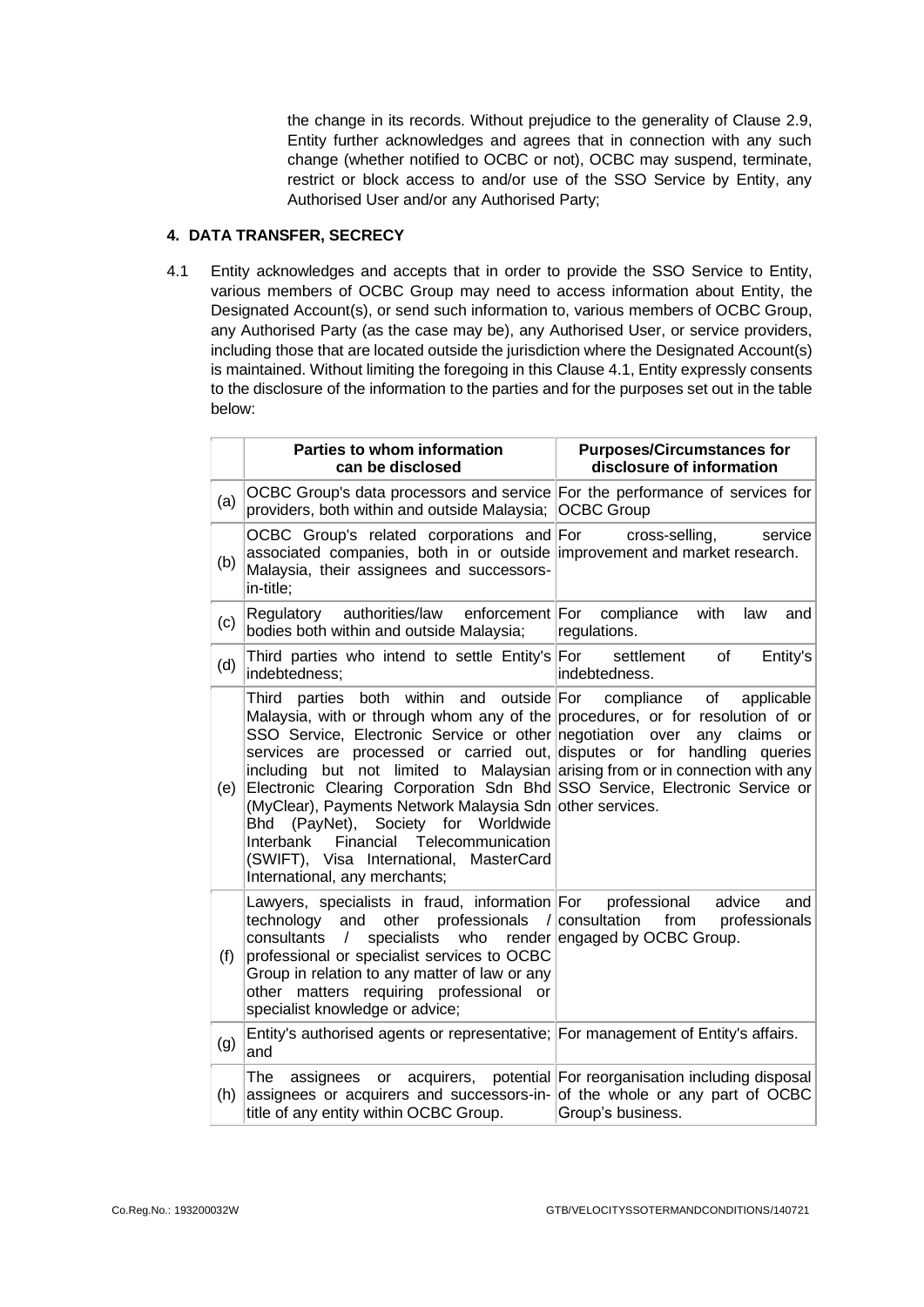the change in its records. Without prejudice to the generality of Clause [2.9,](#page-4-0) Entity further acknowledges and agrees that in connection with any such change (whether notified to OCBC or not), OCBC may suspend, terminate, restrict or block access to and/or use of the SSO Service by Entity, any Authorised User and/or any Authorised Party;

#### **4. DATA TRANSFER, SECRECY**

4.1 Entity acknowledges and accepts that in order to provide the SSO Service to Entity, various members of OCBC Group may need to access information about Entity, the Designated Account(s), or send such information to, various members of OCBC Group, any Authorised Party (as the case may be), any Authorised User, or service providers, including those that are located outside the jurisdiction where the Designated Account(s) is maintained. Without limiting the foregoing in this Clause 4.1, Entity expressly consents to the disclosure of the information to the parties and for the purposes set out in the table below:

|     | Parties to whom information<br>can be disclosed                                                                                                                                                                                                                                                                                                                                                                                                                                                                                                                                                                 | <b>Purposes/Circumstances for</b><br>disclosure of information                                                                         |
|-----|-----------------------------------------------------------------------------------------------------------------------------------------------------------------------------------------------------------------------------------------------------------------------------------------------------------------------------------------------------------------------------------------------------------------------------------------------------------------------------------------------------------------------------------------------------------------------------------------------------------------|----------------------------------------------------------------------------------------------------------------------------------------|
| (a) | OCBC Group's data processors and service For the performance of services for<br>providers, both within and outside Malaysia;                                                                                                                                                                                                                                                                                                                                                                                                                                                                                    | <b>OCBC Group</b>                                                                                                                      |
| (b) | OCBC Group's related corporations and For<br>associated companies, both in or outside improvement and market research.<br>Malaysia, their assignees and successors-<br>in-title;                                                                                                                                                                                                                                                                                                                                                                                                                                | cross-selling,<br>service                                                                                                              |
| (c) | authorities/law enforcement For<br>Regulatory<br>bodies both within and outside Malaysia;                                                                                                                                                                                                                                                                                                                                                                                                                                                                                                                       | compliance<br>with<br>law<br>and<br>regulations.                                                                                       |
| (d) | Third parties who intend to settle Entity's For<br>indebtedness;                                                                                                                                                                                                                                                                                                                                                                                                                                                                                                                                                | of<br>Entity's<br>settlement<br>indebtedness.                                                                                          |
| (e) | <b>Third</b><br>both within<br>and<br>outside For<br>parties<br>Malaysia, with or through whom any of the procedures, or for resolution of or<br>SSO Service, Electronic Service or other negotiation<br>services are processed or carried out, disputes or for handling queries<br>including<br>Electronic Clearing Corporation Sdn Bhd SSO Service, Electronic Service or<br>(MyClear), Payments Network Malaysia Sdn other services.<br>(PayNet), Society<br>for Worldwide<br>Bhd<br>Financial<br>Telecommunication<br>Interbank<br>(SWIFT), Visa International, MasterCard<br>International, any merchants; | compliance<br>of<br>applicable<br>claims<br>over<br>any<br>or l<br>but not limited to Malaysian arising from or in connection with any |
| (f) | Lawyers, specialists in fraud, information For<br>other professionals / consultation<br>technology<br>and<br>consultants<br>$\sqrt{ }$<br>specialists<br>who<br>professional or specialist services to OCBC<br>Group in relation to any matter of law or any<br>matters requiring professional<br>other<br>or<br>specialist knowledge or advice;                                                                                                                                                                                                                                                                | professional<br>advice<br>and<br>from<br>professionals<br>render engaged by OCBC Group.                                                |
| (g) | Entity's authorised agents or representative; For management of Entity's affairs.<br>and                                                                                                                                                                                                                                                                                                                                                                                                                                                                                                                        |                                                                                                                                        |
| (h) | The<br>assignees<br>or<br>assignees or acquirers and successors-in- of the whole or any part of OCBC<br>title of any entity within OCBC Group.                                                                                                                                                                                                                                                                                                                                                                                                                                                                  | acquirers, potential For reorganisation including disposal<br>Group's business.                                                        |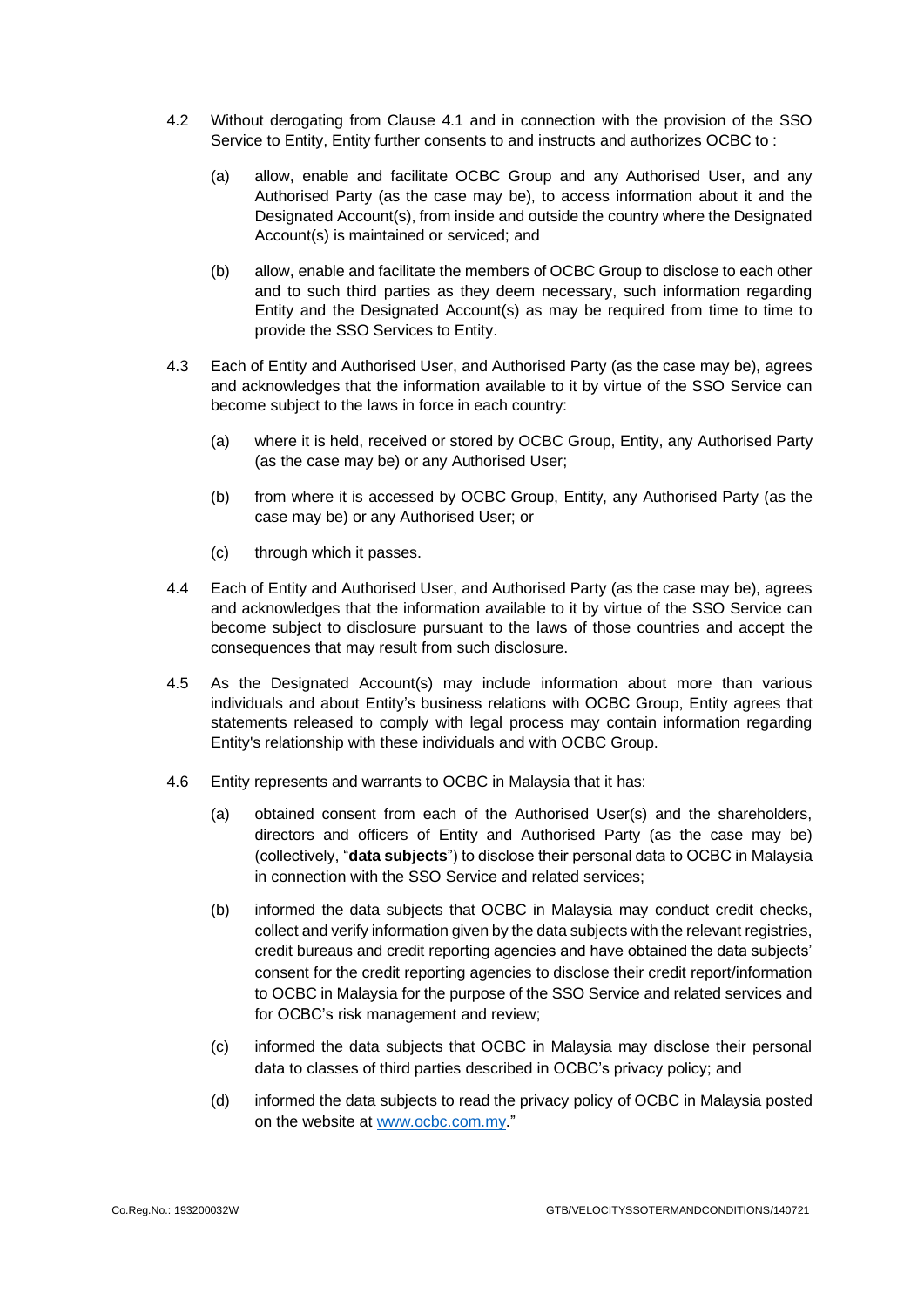- 4.2 Without derogating from Clause 4.1 and in connection with the provision of the SSO Service to Entity, Entity further consents to and instructs and authorizes OCBC to :
	- (a) allow, enable and facilitate OCBC Group and any Authorised User, and any Authorised Party (as the case may be), to access information about it and the Designated Account(s), from inside and outside the country where the Designated Account(s) is maintained or serviced; and
	- (b) allow, enable and facilitate the members of OCBC Group to disclose to each other and to such third parties as they deem necessary, such information regarding Entity and the Designated Account(s) as may be required from time to time to provide the SSO Services to Entity.
- 4.3 Each of Entity and Authorised User, and Authorised Party (as the case may be), agrees and acknowledges that the information available to it by virtue of the SSO Service can become subject to the laws in force in each country:
	- (a) where it is held, received or stored by OCBC Group, Entity, any Authorised Party (as the case may be) or any Authorised User;
	- (b) from where it is accessed by OCBC Group, Entity, any Authorised Party (as the case may be) or any Authorised User; or
	- (c) through which it passes.
- 4.4 Each of Entity and Authorised User, and Authorised Party (as the case may be), agrees and acknowledges that the information available to it by virtue of the SSO Service can become subject to disclosure pursuant to the laws of those countries and accept the consequences that may result from such disclosure.
- 4.5 As the Designated Account(s) may include information about more than various individuals and about Entity's business relations with OCBC Group, Entity agrees that statements released to comply with legal process may contain information regarding Entity's relationship with these individuals and with OCBC Group.
- 4.6 Entity represents and warrants to OCBC in Malaysia that it has:
	- (a) obtained consent from each of the Authorised User(s) and the shareholders, directors and officers of Entity and Authorised Party (as the case may be) (collectively, "**data subjects**") to disclose their personal data to OCBC in Malaysia in connection with the SSO Service and related services;
	- (b) informed the data subjects that OCBC in Malaysia may conduct credit checks, collect and verify information given by the data subjects with the relevant registries, credit bureaus and credit reporting agencies and have obtained the data subjects' consent for the credit reporting agencies to disclose their credit report/information to OCBC in Malaysia for the purpose of the SSO Service and related services and for OCBC's risk management and review;
	- (c) informed the data subjects that OCBC in Malaysia may disclose their personal data to classes of third parties described in OCBC's privacy policy; and
	- (d) informed the data subjects to read the privacy policy of OCBC in Malaysia posted on the website at [www.ocbc.com.my.](http://www.ocbc.com.my/)"